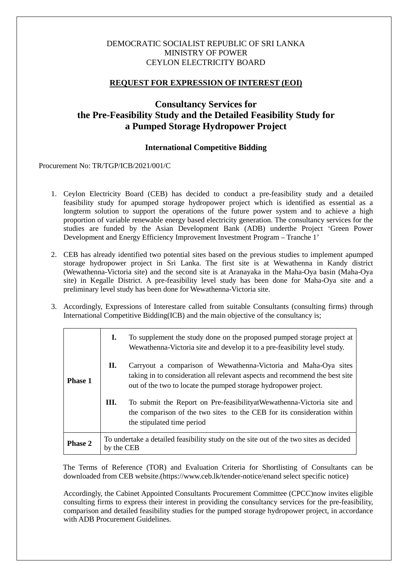## DEMOCRATIC SOCIALIST REPUBLIC OF SRI LANKA MINISTRY OF POWER CEYLON ELECTRICITY BOARD

## **REQUEST FOR EXPRESSION OF INTEREST (EOI)**

# **Consultancy Services for the Pre-Feasibility Study and the Detailed Feasibility Study for a Pumped Storage Hydropower Project**

## **International Competitive Bidding**

#### Procurement No: TR/TGP/ICB/2021/001/C

- 1. Ceylon Electricity Board (CEB) has decided to conduct a pre-feasibility study and a detailed feasibility study for apumped storage hydropower project which is identified as essential as a longterm solution to support the operations of the future power system and to achieve a high proportion of variable renewable energy based electricity generation. The consultancy services for the studies are funded by the Asian Development Bank (ADB) underthe Project 'Green Power Development and Energy Efficiency Improvement Investment Program – Tranche 1'
- 2. CEB has already identified two potential sites based on the previous studies to implement apumped storage hydropower project in Sri Lanka. The first site is at Wewathenna in Kandy district (Wewathenna-Victoria site) and the second site is at Aranayaka in the Maha-Oya basin (Maha-Oya site) in Kegalle District. A pre-feasibility level study has been done for Maha-Oya site and a preliminary level study has been done for Wewathenna-Victoria site.
- 3. Accordingly, Expressions of Interestare called from suitable Consultants (consulting firms) through International Competitive Bidding(ICB) and the main objective of the consultancy is;

|                | I.                                                                                                  | To supplement the study done on the proposed pumped storage project at<br>Wewathenna-Victoria site and develop it to a pre-feasibility level study.                                                               |
|----------------|-----------------------------------------------------------------------------------------------------|-------------------------------------------------------------------------------------------------------------------------------------------------------------------------------------------------------------------|
| <b>Phase 1</b> | П.                                                                                                  | Carryout a comparison of Wewathenna-Victoria and Maha-Oya sites<br>taking in to consideration all relevant aspects and recommend the best site<br>out of the two to locate the pumped storage hydropower project. |
|                | Ш.                                                                                                  | To submit the Report on Pre-feasibility at Wewathenna-Victoria site and<br>the comparison of the two sites to the CEB for its consideration within<br>the stipulated time period                                  |
| <b>Phase 2</b> | To undertake a detailed feasibility study on the site out of the two sites as decided<br>by the CEB |                                                                                                                                                                                                                   |

The Terms of Reference (TOR) and Evaluation Criteria for Shortlisting of Consultants can be downloaded from CEB website.[\(https://www.ceb.lk/tender-notice/ena](https://www.ceb.lk/tender-notice/en)nd select specific notice)

Accordingly, the Cabinet Appointed Consultants Procurement Committee (CPCC)now invites eligible consulting firms to express their interest in providing the consultancy services for the pre-feasibility, comparison and detailed feasibility studies for the pumped storage hydropower project, in accordance with ADB Procurement Guidelines.